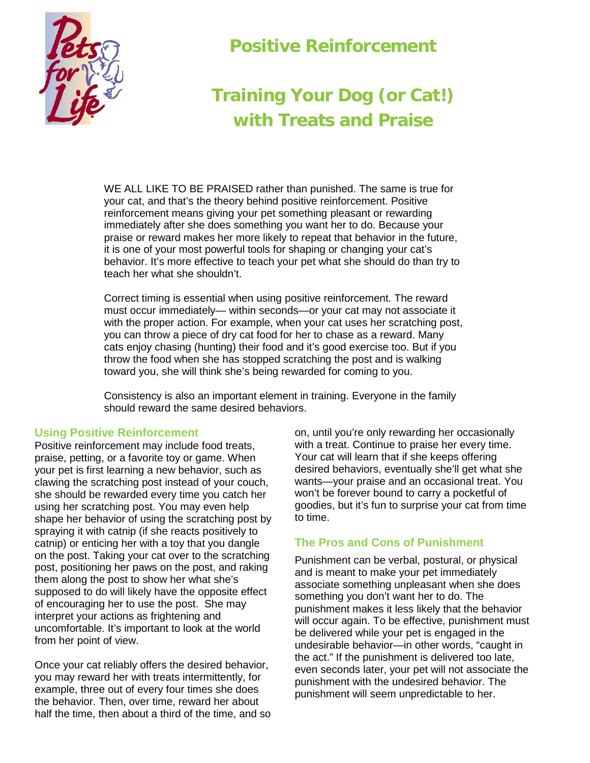

## **Positive Reinforcement**

## **Training Your Dog (or Cat!) with Treats and Praise**

WE ALL LIKE TO BE PRAISED rather than punished. The same is true for your cat, and that's the theory behind positive reinforcement. Positive reinforcement means giving your pet something pleasant or rewarding immediately after she does something you want her to do. Because your praise or reward makes her more likely to repeat that behavior in the future, it is one of your most powerful tools for shaping or changing your cat's behavior. It's more effective to teach your pet what she should do than try to teach her what she shouldn't.

Correct timing is essential when using positive reinforcement. The reward must occur immediately— within seconds—or your cat may not associate it with the proper action. For example, when your cat uses her scratching post, you can throw a piece of dry cat food for her to chase as a reward. Many cats enjoy chasing (hunting) their food and it's good exercise too. But if you throw the food when she has stopped scratching the post and is walking toward you, she will think she's being rewarded for coming to you.

Consistency is also an important element in training. Everyone in the family should reward the same desired behaviors.

## **Using Positive Reinforcement**

Positive reinforcement may include food treats, praise, petting, or a favorite toy or game. When your pet is first learning a new behavior, such as clawing the scratching post instead of your couch, she should be rewarded every time you catch her using her scratching post. You may even help shape her behavior of using the scratching post by spraying it with catnip (if she reacts positively to catnip) or enticing her with a toy that you dangle on the post. Taking your cat over to the scratching post, positioning her paws on the post, and raking them along the post to show her what she's supposed to do will likely have the opposite effect of encouraging her to use the post. She may interpret your actions as frightening and uncomfortable. It's important to look at the world from her point of view.

Once your cat reliably offers the desired behavior, you may reward her with treats intermittently, for example, three out of every four times she does the behavior. Then, over time, reward her about half the time, then about a third of the time, and so on, until you're only rewarding her occasionally with a treat. Continue to praise her every time. Your cat will learn that if she keeps offering desired behaviors, eventually she'll get what she wants—your praise and an occasional treat. You won't be forever bound to carry a pocketful of goodies, but it's fun to surprise your cat from time to time.

## **The Pros and Cons of Punishment**

Punishment can be verbal, postural, or physical and is meant to make your pet immediately associate something unpleasant when she does something you don't want her to do. The punishment makes it less likely that the behavior will occur again. To be effective, punishment must be delivered while your pet is engaged in the undesirable behavior—in other words, "caught in the act." If the punishment is delivered too late, even seconds later, your pet will not associate the punishment with the undesired behavior. The punishment will seem unpredictable to her.